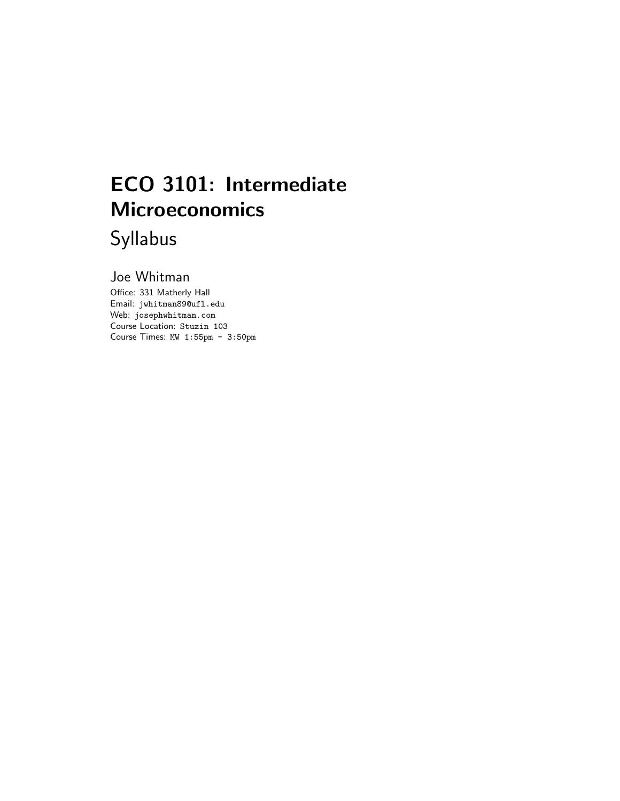# ECO 3101: Intermediate **Microeconomics**

Syllabus

Joe Whitman

Office: 331 Matherly Hall Email: jwhitman89@ufl.edu Web: josephwhitman.com Course Location: Stuzin 103 Course Times: MW 1:55pm - 3:50pm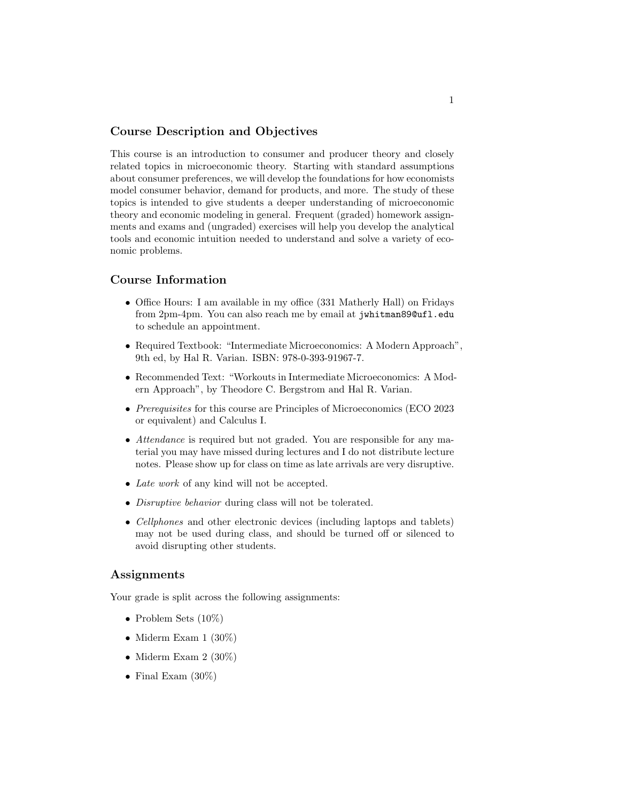### Course Description and Objectives

This course is an introduction to consumer and producer theory and closely related topics in microeconomic theory. Starting with standard assumptions about consumer preferences, we will develop the foundations for how economists model consumer behavior, demand for products, and more. The study of these topics is intended to give students a deeper understanding of microeconomic theory and economic modeling in general. Frequent (graded) homework assignments and exams and (ungraded) exercises will help you develop the analytical tools and economic intuition needed to understand and solve a variety of economic problems.

#### Course Information

- Office Hours: I am available in my office (331 Matherly Hall) on Fridays from 2pm-4pm. You can also reach me by email at jwhitman89@ufl.edu to schedule an appointment.
- Required Textbook: "Intermediate Microeconomics: A Modern Approach", 9th ed, by Hal R. Varian. ISBN: 978-0-393-91967-7.
- Recommended Text: "Workouts in Intermediate Microeconomics: A Modern Approach", by Theodore C. Bergstrom and Hal R. Varian.
- *Prerequisites* for this course are Principles of Microeconomics (ECO 2023) or equivalent) and Calculus I.
- Attendance is required but not graded. You are responsible for any material you may have missed during lectures and I do not distribute lecture notes. Please show up for class on time as late arrivals are very disruptive.
- Late work of any kind will not be accepted.
- Disruptive behavior during class will not be tolerated.
- *Cellphones* and other electronic devices (including laptops and tablets) may not be used during class, and should be turned off or silenced to avoid disrupting other students.

#### Assignments

Your grade is split across the following assignments:

- Problem Sets (10%)
- Miderm Exam  $1 (30\%)$
- Miderm Exam  $2(30\%)$
- Final Exam  $(30\%)$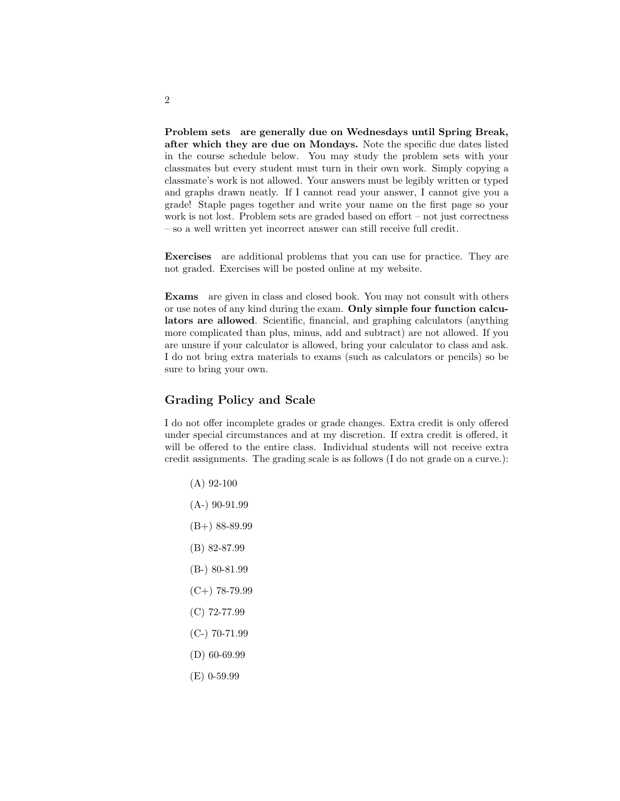Problem sets are generally due on Wednesdays until Spring Break, after which they are due on Mondays. Note the specific due dates listed in the course schedule below. You may study the problem sets with your classmates but every student must turn in their own work. Simply copying a classmate's work is not allowed. Your answers must be legibly written or typed and graphs drawn neatly. If I cannot read your answer, I cannot give you a grade! Staple pages together and write your name on the first page so your work is not lost. Problem sets are graded based on effort – not just correctness – so a well written yet incorrect answer can still receive full credit.

Exercises are additional problems that you can use for practice. They are not graded. Exercises will be posted online at my website.

Exams are given in class and closed book. You may not consult with others or use notes of any kind during the exam. Only simple four function calculators are allowed. Scientific, financial, and graphing calculators (anything more complicated than plus, minus, add and subtract) are not allowed. If you are unsure if your calculator is allowed, bring your calculator to class and ask. I do not bring extra materials to exams (such as calculators or pencils) so be sure to bring your own.

# Grading Policy and Scale

I do not offer incomplete grades or grade changes. Extra credit is only offered under special circumstances and at my discretion. If extra credit is offered, it will be offered to the entire class. Individual students will not receive extra credit assignments. The grading scale is as follows (I do not grade on a curve.):

- (A) 92-100 (A-) 90-91.99
- (B+) 88-89.99
- (B) 82-87.99
- (B-) 80-81.99
- $(C+)$  78-79.99
- (C) 72-77.99
- (C-) 70-71.99
- (D) 60-69.99
- (E) 0-59.99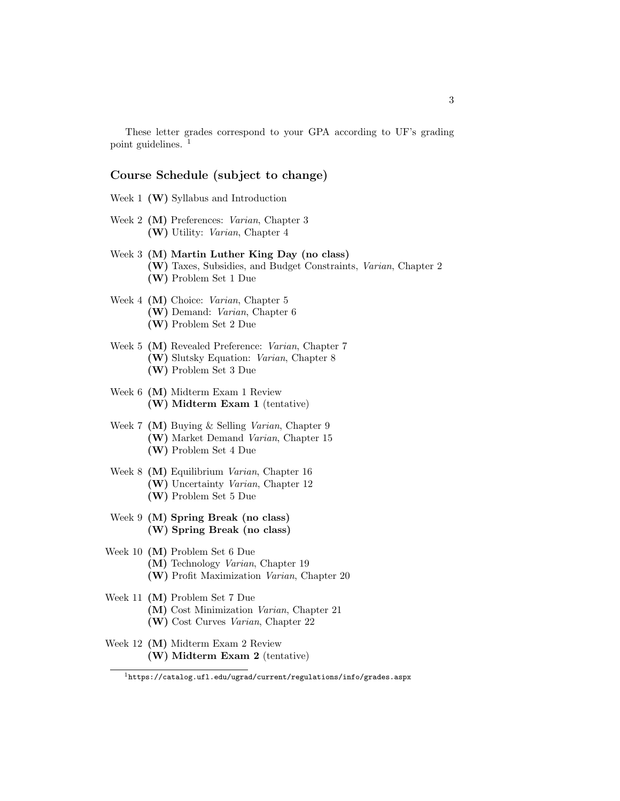These letter grades correspond to your GPA according to UF's grading point guidelines.  $<sup>1</sup>$ </sup>

#### Course Schedule (subject to change)

- Week 1  $(W)$  Syllabus and Introduction
- Week 2 (M) Preferences: Varian, Chapter 3 (W) Utility: Varian, Chapter 4
- Week 3 (M) Martin Luther King Day (no class) (W) Taxes, Subsidies, and Budget Constraints, Varian, Chapter 2 (W) Problem Set 1 Due
- Week 4 (M) Choice: Varian, Chapter 5 (W) Demand: Varian, Chapter 6 (W) Problem Set 2 Due
- Week 5 (M) Revealed Preference: Varian, Chapter 7 (W) Slutsky Equation: Varian, Chapter 8 (W) Problem Set 3 Due
- Week 6 (M) Midterm Exam 1 Review (W) Midterm Exam 1 (tentative)
- Week 7 (M) Buying & Selling Varian, Chapter 9 (W) Market Demand Varian, Chapter 15 (W) Problem Set 4 Due
- Week 8 (M) Equilibrium Varian, Chapter 16 (W) Uncertainty Varian, Chapter 12 (W) Problem Set 5 Due
- Week 9 (M) Spring Break (no class) (W) Spring Break (no class)
- Week 10 (M) Problem Set 6 Due (M) Technology Varian, Chapter 19 (W) Profit Maximization Varian, Chapter 20
- Week 11 (M) Problem Set 7 Due (M) Cost Minimization Varian, Chapter 21 (W) Cost Curves Varian, Chapter 22
- Week 12 (M) Midterm Exam 2 Review (W) Midterm Exam 2 (tentative)

 $^{\rm l}$ https://catalog.ufl.edu/ugrad/current/regulations/info/grades.aspx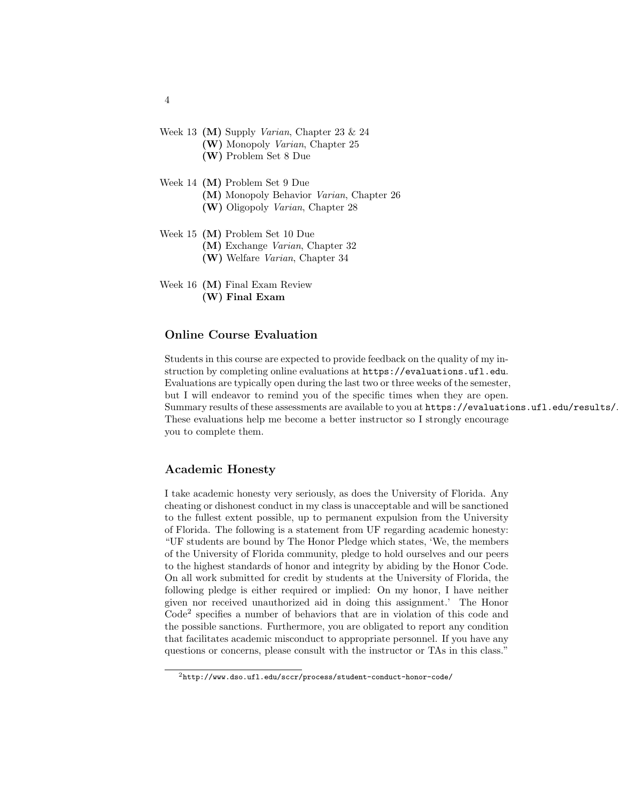- Week 13 (M) Supply Varian, Chapter 23 & 24 (W) Monopoly Varian, Chapter 25
	- (W) Problem Set 8 Due
- Week 14 (M) Problem Set 9 Due (M) Monopoly Behavior Varian, Chapter 26
	- (W) Oligopoly Varian, Chapter 28
- Week 15 (M) Problem Set 10 Due
	- (M) Exchange Varian, Chapter 32
	- (W) Welfare Varian, Chapter 34
- Week 16 (M) Final Exam Review (W) Final Exam

# Online Course Evaluation

Students in this course are expected to provide feedback on the quality of my instruction by completing online evaluations at https://evaluations.ufl.edu. Evaluations are typically open during the last two or three weeks of the semester, but I will endeavor to remind you of the specific times when they are open. Summary results of these assessments are available to you at https://evaluations.ufl.edu/results/. These evaluations help me become a better instructor so I strongly encourage you to complete them.

## Academic Honesty

I take academic honesty very seriously, as does the University of Florida. Any cheating or dishonest conduct in my class is unacceptable and will be sanctioned to the fullest extent possible, up to permanent expulsion from the University of Florida. The following is a statement from UF regarding academic honesty: "UF students are bound by The Honor Pledge which states, 'We, the members of the University of Florida community, pledge to hold ourselves and our peers to the highest standards of honor and integrity by abiding by the Honor Code. On all work submitted for credit by students at the University of Florida, the following pledge is either required or implied: On my honor, I have neither given nor received unauthorized aid in doing this assignment.' The Honor Code<sup>2</sup> specifies a number of behaviors that are in violation of this code and the possible sanctions. Furthermore, you are obligated to report any condition that facilitates academic misconduct to appropriate personnel. If you have any questions or concerns, please consult with the instructor or TAs in this class."

4

<sup>2</sup>http://www.dso.ufl.edu/sccr/process/student-conduct-honor-code/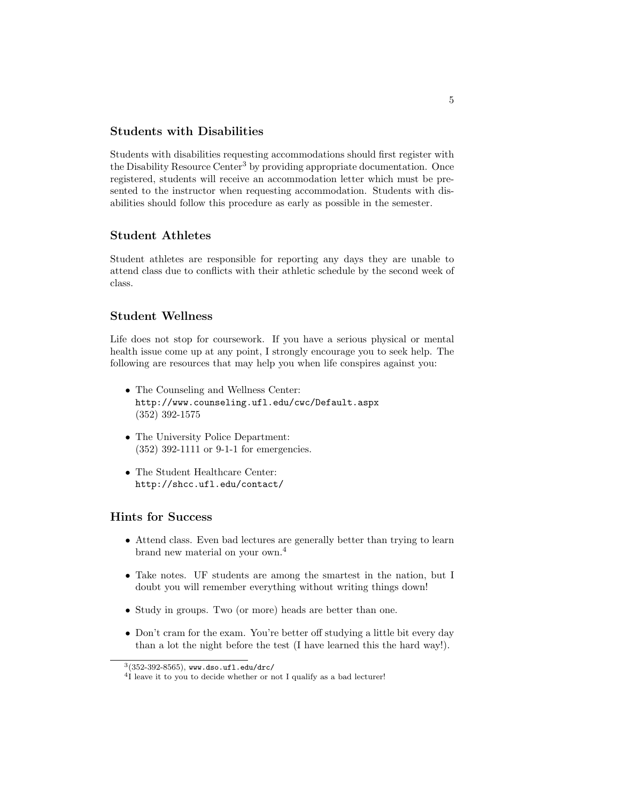## Students with Disabilities

Students with disabilities requesting accommodations should first register with the Disability Resource Center<sup>3</sup> by providing appropriate documentation. Once registered, students will receive an accommodation letter which must be presented to the instructor when requesting accommodation. Students with disabilities should follow this procedure as early as possible in the semester.

## Student Athletes

Student athletes are responsible for reporting any days they are unable to attend class due to conflicts with their athletic schedule by the second week of class.

## Student Wellness

Life does not stop for coursework. If you have a serious physical or mental health issue come up at any point, I strongly encourage you to seek help. The following are resources that may help you when life conspires against you:

- The Counseling and Wellness Center: http://www.counseling.ufl.edu/cwc/Default.aspx (352) 392-1575
- The University Police Department: (352) 392-1111 or 9-1-1 for emergencies.
- The Student Healthcare Center: http://shcc.ufl.edu/contact/

# Hints for Success

- Attend class. Even bad lectures are generally better than trying to learn brand new material on your own.<sup>4</sup>
- Take notes. UF students are among the smartest in the nation, but I doubt you will remember everything without writing things down!
- Study in groups. Two (or more) heads are better than one.
- Don't cram for the exam. You're better off studying a little bit every day than a lot the night before the test (I have learned this the hard way!).

 $3(352$ -392-8565), www.dso.ufl.edu/drc/

<sup>&</sup>lt;sup>4</sup>I leave it to you to decide whether or not I qualify as a bad lecturer!